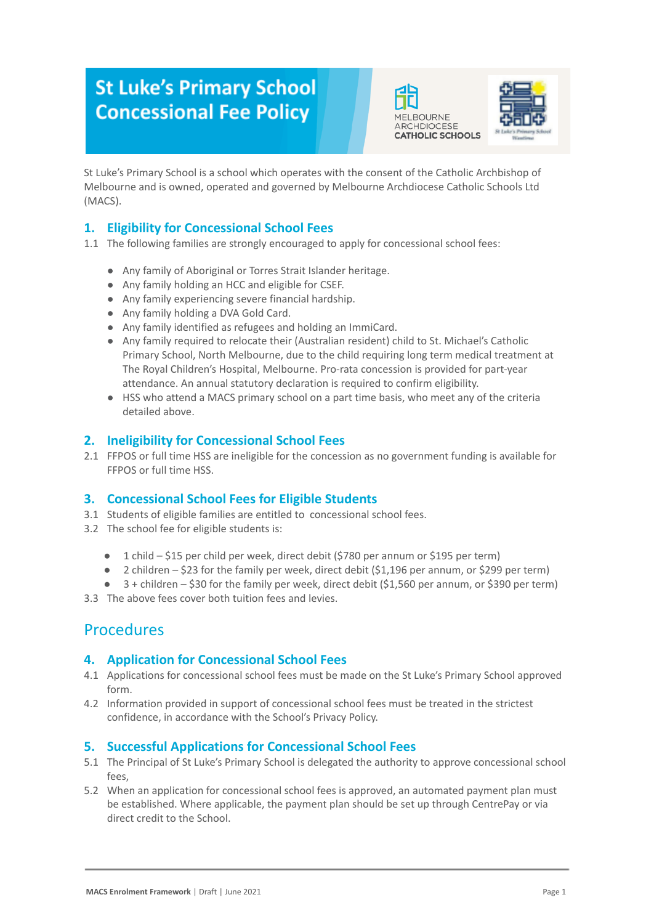# **St Luke's Primary School Concessional Fee Policy**





St Luke's Primary School is a school which operates with the consent of the Catholic Archbishop of Melbourne and is owned, operated and governed by Melbourne Archdiocese Catholic Schools Ltd (MACS).

### **1. Eligibility for Concessional School Fees**

- 1.1 The following families are strongly encouraged to apply for concessional school fees:
	- Any family of Aboriginal or Torres Strait Islander heritage.
	- Any family holding an HCC and eligible for CSEF.
	- Any family experiencing severe financial hardship.
	- Any family holding a DVA Gold Card.
	- Any family identified as refugees and holding an ImmiCard.
	- Any family required to relocate their (Australian resident) child to St. Michael's Catholic Primary School, North Melbourne, due to the child requiring long term medical treatment at The Royal Children's Hospital, Melbourne. Pro-rata concession is provided for part-year attendance. An annual statutory declaration is required to confirm eligibility.
	- HSS who attend a MACS primary school on a part time basis, who meet any of the criteria detailed above.

### **2. Ineligibility for Concessional School Fees**

2.1 FFPOS or full time HSS are ineligible for the concession as no government funding is available for FFPOS or full time HSS.

### **3. Concessional School Fees for Eligible Students**

- 3.1 Students of eligible families are entitled to concessional school fees.
- 3.2 The school fee for eligible students is:
	- 1 child \$15 per child per week, direct debit (\$780 per annum or \$195 per term)
	- 2 children \$23 for the family per week, direct debit (\$1,196 per annum, or \$299 per term)
	- 3 + children \$30 for the family per week, direct debit (\$1,560 per annum, or \$390 per term)
- 3.3 The above fees cover both tuition fees and levies.

## Procedures

### **4. Application for Concessional School Fees**

- 4.1 Applications for concessional school fees must be made on the St Luke's Primary School approved form.
- 4.2 Information provided in support of concessional school fees must be treated in the strictest confidence, in accordance with the School's Privacy Policy.

### **5. Successful Applications for Concessional School Fees**

- 5.1 The Principal of St Luke's Primary School is delegated the authority to approve concessional school fees,
- 5.2 When an application for concessional school fees is approved, an automated payment plan must be established. Where applicable, the payment plan should be set up through CentrePay or via direct credit to the School.